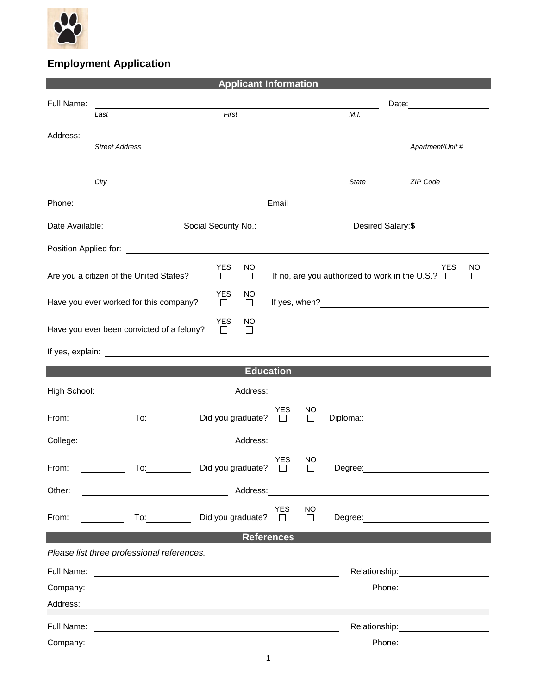

## **Employment Application**

| <b>Applicant Information</b>                                                                                                                                                 |                                                                                                                      |                                                    |                      |              |         |                                                                                                                                                                                                                                |                  |  |  |
|------------------------------------------------------------------------------------------------------------------------------------------------------------------------------|----------------------------------------------------------------------------------------------------------------------|----------------------------------------------------|----------------------|--------------|---------|--------------------------------------------------------------------------------------------------------------------------------------------------------------------------------------------------------------------------------|------------------|--|--|
| Full Name:                                                                                                                                                                   |                                                                                                                      |                                                    |                      |              |         |                                                                                                                                                                                                                                |                  |  |  |
|                                                                                                                                                                              | Last                                                                                                                 | First                                              |                      |              | M.I.    |                                                                                                                                                                                                                                |                  |  |  |
| Address:                                                                                                                                                                     |                                                                                                                      |                                                    |                      |              |         |                                                                                                                                                                                                                                |                  |  |  |
|                                                                                                                                                                              | <b>Street Address</b>                                                                                                |                                                    |                      |              |         |                                                                                                                                                                                                                                | Apartment/Unit # |  |  |
|                                                                                                                                                                              |                                                                                                                      |                                                    |                      |              |         |                                                                                                                                                                                                                                |                  |  |  |
|                                                                                                                                                                              | City                                                                                                                 |                                                    |                      |              | State   | ZIP Code                                                                                                                                                                                                                       |                  |  |  |
| Phone:                                                                                                                                                                       |                                                                                                                      | <u> 1989 - Johann Barn, amerikansk politiker (</u> |                      |              |         |                                                                                                                                                                                                                                |                  |  |  |
|                                                                                                                                                                              | Date Available: <u>New York Charles Available</u>                                                                    | Social Security No.: 1994<br>Desired Salary:\$     |                      |              |         |                                                                                                                                                                                                                                |                  |  |  |
|                                                                                                                                                                              |                                                                                                                      |                                                    |                      |              |         |                                                                                                                                                                                                                                |                  |  |  |
| <b>YES</b><br>NO<br><b>YES</b><br>NO<br>If no, are you authorized to work in the U.S.? $\Box$<br>Are you a citizen of the United States?<br>$\Box$<br>$\Box$<br>$\mathsf{L}$ |                                                                                                                      |                                                    |                      |              |         |                                                                                                                                                                                                                                |                  |  |  |
| <b>YES</b><br>NO.<br>Have you ever worked for this company?<br>$\Box$<br>$\Box$                                                                                              |                                                                                                                      |                                                    |                      |              |         |                                                                                                                                                                                                                                |                  |  |  |
| <b>YES</b><br>NO<br>Have you ever been convicted of a felony?<br>$\Box$<br>$\Box$                                                                                            |                                                                                                                      |                                                    |                      |              |         |                                                                                                                                                                                                                                |                  |  |  |
|                                                                                                                                                                              |                                                                                                                      |                                                    |                      |              |         |                                                                                                                                                                                                                                |                  |  |  |
| <b>Education</b>                                                                                                                                                             |                                                                                                                      |                                                    |                      |              |         |                                                                                                                                                                                                                                |                  |  |  |
| High School:                                                                                                                                                                 |                                                                                                                      |                                                    |                      |              |         |                                                                                                                                                                                                                                |                  |  |  |
| From:                                                                                                                                                                        |                                                                                                                      | To: Did you graduate? □                            | YES                  | NO<br>$\Box$ |         | Diploma:: Diplomation and the state of the state of the state of the state of the state of the state of the state of the state of the state of the state of the state of the state of the state of the state of the state of t |                  |  |  |
|                                                                                                                                                                              | College: <u>College:</u> Address:                                                                                    |                                                    |                      |              |         |                                                                                                                                                                                                                                |                  |  |  |
| From:                                                                                                                                                                        | To:                                                                                                                  | Did you graduate?                                  | <b>YES</b><br>$\Box$ | NO<br>П      | Degree: |                                                                                                                                                                                                                                |                  |  |  |
| Other:                                                                                                                                                                       | <u> 1980 - Johann John Stein, markin santa shekara 1980 - An an tsara 1980 - An an tsara 1980 - An an tsara 1980</u> | Address:                                           |                      |              |         |                                                                                                                                                                                                                                |                  |  |  |
| From:                                                                                                                                                                        | To: $\qquad \qquad$                                                                                                  | Did you graduate?                                  | <b>YES</b><br>$\Box$ | NO<br>$\Box$ |         |                                                                                                                                                                                                                                |                  |  |  |
|                                                                                                                                                                              |                                                                                                                      |                                                    | <b>References</b>    |              |         |                                                                                                                                                                                                                                |                  |  |  |
|                                                                                                                                                                              | Please list three professional references.                                                                           |                                                    |                      |              |         |                                                                                                                                                                                                                                |                  |  |  |
| Full Name:                                                                                                                                                                   | <u> 1989 - Andrea Stadt Britain, fransk politik (f. 1989)</u>                                                        |                                                    |                      |              |         | Relationship: 2000                                                                                                                                                                                                             |                  |  |  |
| Company:                                                                                                                                                                     |                                                                                                                      |                                                    |                      |              |         | Phone: <u>______________</u>                                                                                                                                                                                                   |                  |  |  |
| Address:                                                                                                                                                                     |                                                                                                                      |                                                    |                      |              |         |                                                                                                                                                                                                                                |                  |  |  |
|                                                                                                                                                                              |                                                                                                                      |                                                    |                      |              |         |                                                                                                                                                                                                                                |                  |  |  |
| Full Name:                                                                                                                                                                   |                                                                                                                      |                                                    |                      |              |         | Relationship:                                                                                                                                                                                                                  |                  |  |  |
| Company:                                                                                                                                                                     |                                                                                                                      |                                                    |                      |              |         | Phone:                                                                                                                                                                                                                         |                  |  |  |